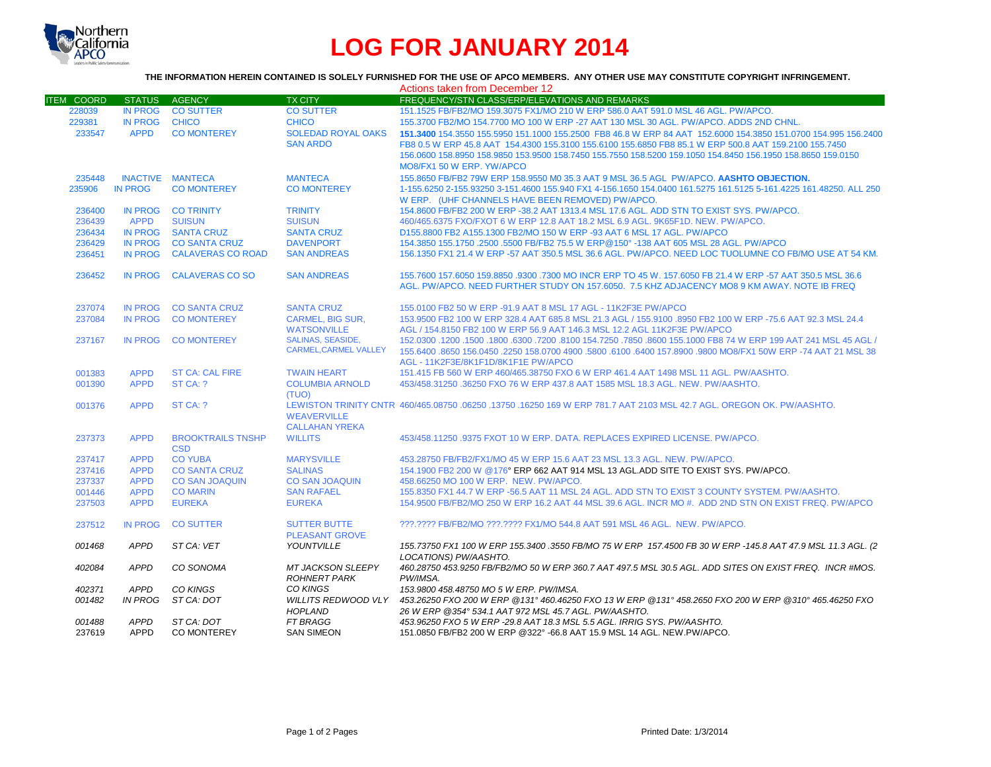

# **LOG FOR JANUARY 2014**

### **THE INFORMATION HEREIN CONTAINED IS SOLELY FURNISHED FOR THE USE OF APCO MEMBERS. ANY OTHER USE MAY CONSTITUTE COPYRIGHT INFRINGEMENT.**

|                   |                |                                     |                             | Actions taken from December 12                                                                                        |
|-------------------|----------------|-------------------------------------|-----------------------------|-----------------------------------------------------------------------------------------------------------------------|
| <b>ITEM COORD</b> | STATUS AGENCY  |                                     | <b>TX CITY</b>              | FREQUENCY/STN CLASS/ERP/ELEVATIONS AND REMARKS                                                                        |
| 228039            |                | IN PROG CO SUTTER                   | <b>CO SUTTER</b>            | 151.1525 FB/FB2/MO 159.3075 FX1/MO 210 W ERP 586.0 AAT 591.0 MSL 46 AGL, PW/APCO.                                     |
| 229381            | <b>IN PROG</b> | <b>CHICO</b>                        | <b>CHICO</b>                | 155.3700 FB2/MO 154.7700 MO 100 W ERP -27 AAT 130 MSL 30 AGL. PW/APCO. ADDS 2ND CHNL.                                 |
| 233547            | <b>APPD</b>    | <b>CO MONTEREY</b>                  | <b>SOLEDAD ROYAL OAKS</b>   | 151,3400 154,3550 155,5950 151,1000 155,2500 FB8 46.8 W ERP 84 AAT 152,6000 154,3850 151,0700 154,995 156,2400        |
|                   |                |                                     | <b>SAN ARDO</b>             | FB8 0.5 W ERP 45.8 AAT 154.4300 155.3100 155.6100 155.6850 FB8 85.1 W ERP 500.8 AAT 159.2100 155.7450                 |
|                   |                |                                     |                             | 156.0600 158.8950 158.9850 153.9500 158.7450 155.7550 158.5200 159.1050 154.8450 156.1950 158.8650 159.0150           |
|                   |                |                                     |                             | MO8/FX1 50 W ERP. YW/APCO                                                                                             |
| 235448            |                | <b>INACTIVE MANTECA</b>             | <b>MANTECA</b>              | 155.8650 FB/FB2 79W ERP 158.9550 M0 35.3 AAT 9 MSL 36.5 AGL PW/APCO. AASHTO OBJECTION.                                |
| 235906            | <b>IN PROG</b> | <b>CO MONTEREY</b>                  | <b>CO MONTEREY</b>          | 1-155.6250 2-155.93250 3-151.4600 155.940 FX1 4-156.1650 154.0400 161.5275 161.5125 5-161.4225 161.48250, ALL 250     |
|                   |                |                                     |                             | W ERP. (UHF CHANNELS HAVE BEEN REMOVED) PW/APCO.                                                                      |
|                   |                |                                     | <b>TRINITY</b>              | 154.8600 FB/FB2 200 W ERP -38.2 AAT 1313.4 MSL 17.6 AGL. ADD STN TO EXIST SYS. PW/APCO.                               |
| 236400            | <b>APPD</b>    | IN PROG CO TRINITY<br><b>SUISUN</b> | <b>SUISUN</b>               | 460/465.6375 FXO/FXOT 6 W ERP 12.8 AAT 18.2 MSL 6.9 AGL, 9K65F1D, NEW, PW/APCO,                                       |
| 236439            |                |                                     |                             |                                                                                                                       |
| 236434            | <b>IN PROG</b> | <b>SANTA CRUZ</b>                   | <b>SANTA CRUZ</b>           | D155.8800 FB2 A155.1300 FB2/MO 150 W ERP -93 AAT 6 MSL 17 AGL. PW/APCO                                                |
| 236429            | <b>IN PROG</b> | <b>CO SANTA CRUZ</b>                | <b>DAVENPORT</b>            | 154.3850 155.1750 .2500 .5500 FB/FB2 75.5 W ERP@150° -138 AAT 605 MSL 28 AGL, PW/APCO                                 |
| 236451            | <b>IN PROG</b> | <b>CALAVERAS CO ROAD</b>            | <b>SAN ANDREAS</b>          | 156.1350 FX1 21.4 W ERP -57 AAT 350.5 MSL 36.6 AGL. PW/APCO, NEED LOC TUOLUMNE CO FB/MO USE AT 54 KM.                 |
| 236452            | <b>IN PROG</b> | <b>CALAVERAS CO SO</b>              | <b>SAN ANDREAS</b>          | 155.7600 157.6050 159.8850 .9300 .7300 MO INCR ERP TO 45 W, 157.6050 FB 21.4 W ERP -57 AAT 350.5 MSL 36.6             |
|                   |                |                                     |                             | AGL. PW/APCO. NEED FURTHER STUDY ON 157.6050. 7.5 KHZ ADJACENCY MO8 9 KM AWAY. NOTE IB FREQ                           |
|                   |                |                                     |                             |                                                                                                                       |
| 237074            | <b>IN PROG</b> | <b>CO SANTA CRUZ</b>                | <b>SANTA CRUZ</b>           | 155,0100 FB2 50 W ERP -91.9 AAT 8 MSL 17 AGL - 11K2F3E PW/APCO                                                        |
| 237084            | <b>IN PROG</b> | <b>CO MONTEREY</b>                  | <b>CARMEL, BIG SUR.</b>     | 153.9500 FB2 100 W ERP 328.4 AAT 685.8 MSL 21.3 AGL / 155.9100 .8950 FB2 100 W ERP -75.6 AAT 92.3 MSL 24.4            |
|                   |                |                                     | <b>WATSONVILLE</b>          | AGL / 154.8150 FB2 100 W ERP 56.9 AAT 146.3 MSL 12.2 AGL 11K2F3E PW/APCO                                              |
| 237167            | <b>IN PROG</b> | <b>CO MONTEREY</b>                  | <b>SALINAS, SEASIDE,</b>    | 152,0300 1200 1500 1600 17200 .8100 154.7250 .7850 .8600 155.1000 FB8 74 W ERP 199 AAT 241 MSL 45 AGL /               |
|                   |                |                                     | <b>CARMEL.CARMEL VALLEY</b> | 155.6400 .8650 156.0450 .2250 158.0700 4900 .5800 .6100 .6400 157.8900 .9800 MO8/FX1 50W ERP -74 AAT 21 MSL 38        |
|                   |                |                                     |                             |                                                                                                                       |
|                   |                |                                     |                             | AGL - 11K2F3E/8K1F1D/8K1F1E PW/APCO                                                                                   |
| 001383            | <b>APPD</b>    | <b>ST CA: CAL FIRE</b>              | <b>TWAIN HEART</b>          | 151.415 FB 560 W ERP 460/465.38750 FXO 6 W ERP 461.4 AAT 1498 MSL 11 AGL, PW/AASHTO.                                  |
| 001390            | <b>APPD</b>    | ST CA: ?                            | <b>COLUMBIA ARNOLD</b>      | 453/458.31250 .36250 FXO 76 W ERP 437.8 AAT 1585 MSL 18.3 AGL, NEW, PW/AASHTO,                                        |
|                   |                |                                     | (TUO)                       |                                                                                                                       |
| 001376            | <b>APPD</b>    | ST CA: ?                            |                             | LEWISTON TRINITY CNTR 460/465.08750 .06250 .13750 .16250 169 W ERP 781.7 AAT 2103 MSL 42.7 AGL, OREGON OK, PW/AASHTO, |
|                   |                |                                     | <b>WEAVERVILLE</b>          |                                                                                                                       |
|                   |                |                                     | <b>CALLAHAN YREKA</b>       |                                                                                                                       |
| 237373            | <b>APPD</b>    | <b>BROOKTRAILS TNSHP</b>            | <b>WILLITS</b>              | 453/458.11250.9375 FXOT 10 W ERP. DATA. REPLACES EXPIRED LICENSE. PW/APCO.                                            |
|                   |                | <b>CSD</b>                          |                             |                                                                                                                       |
| 237417            | <b>APPD</b>    | <b>CO YUBA</b>                      | <b>MARYSVILLE</b>           | 453.28750 FB/FB2/FX1/MO 45 W ERP 15.6 AAT 23 MSL 13.3 AGL, NEW, PW/APCO,                                              |
| 237416            | <b>APPD</b>    | <b>CO SANTA CRUZ</b>                | <b>SALINAS</b>              | 154.1900 FB2 200 W @176° ERP 662 AAT 914 MSL 13 AGL.ADD SITE TO EXIST SYS. PW/APCO.                                   |
| 237337            | <b>APPD</b>    | <b>CO SAN JOAQUIN</b>               | <b>CO SAN JOAQUIN</b>       | 458,66250 MO 100 W ERP. NEW. PW/APCO.                                                                                 |
| 001446            | <b>APPD</b>    | <b>CO MARIN</b>                     | <b>SAN RAFAEL</b>           | 155.8350 FX1 44.7 W ERP -56.5 AAT 11 MSL 24 AGL, ADD STN TO EXIST 3 COUNTY SYSTEM, PW/AASHTO.                         |
| 237503            | <b>APPD</b>    | <b>EUREKA</b>                       | <b>EUREKA</b>               | 154.9500 FB/FB2/MO 250 W ERP 16.2 AAT 44 MSL 39.6 AGL. INCR MO #. ADD 2ND STN ON EXIST FREQ. PW/APCO                  |
|                   |                |                                     |                             |                                                                                                                       |
| 237512            | <b>IN PROG</b> | <b>CO SUTTER</b>                    | <b>SUTTER BUTTE</b>         | ???.???? FB/FB2/MO ???.???? FX1/MO 544.8 AAT 591 MSL 46 AGL. NEW. PW/APCO.                                            |
|                   |                |                                     | <b>PLEASANT GROVE</b>       |                                                                                                                       |
| 001468            | <b>APPD</b>    | ST CA: VET                          | YOUNTVILLE                  | 155.73750 FX1 100 W ERP 155.3400 .3550 FB/MO 75 W ERP 157.4500 FB 30 W ERP -145.8 AAT 47.9 MSL 11.3 AGL. (2           |
|                   |                |                                     |                             | LOCATIONS) PW/AASHTO.                                                                                                 |
| 402084            | <b>APPD</b>    | CO SONOMA                           | <b>MT JACKSON SLEEPY</b>    | 460.28750 453.9250 FB/FB2/MO 50 W ERP 360.7 AAT 497.5 MSL 30.5 AGL. ADD SITES ON EXIST FREQ. INCR #MOS.               |
|                   |                |                                     | <b>ROHNERT PARK</b>         | PW/IMSA.                                                                                                              |
| 402371            | <b>APPD</b>    | CO KINGS                            | CO KINGS                    | 153.9800 458.48750 MO 5 W ERP. PW/IMSA.                                                                               |
| 001482            | IN PROG        | ST CA: DOT                          | <b>WILLITS REDWOOD VLY</b>  | 453.26250 FXO 200 W ERP @131° 460.46250 FXO 13 W ERP @131° 458.2650 FXO 200 W ERP @310° 465.46250 FXO                 |
|                   |                |                                     | <b>HOPLAND</b>              | 26 W ERP @354° 534.1 AAT 972 MSL 45.7 AGL. PW/AASHTO.                                                                 |
| 001488            | <b>APPD</b>    | ST CA: DOT                          | <b>FT BRAGG</b>             | 453.96250 FXO 5 W ERP -29.8 AAT 18.3 MSL 5.5 AGL. IRRIG SYS. PW/AASHTO.                                               |
| 237619            | <b>APPD</b>    | <b>CO MONTEREY</b>                  | <b>SAN SIMEON</b>           | 151.0850 FB/FB2 200 W ERP @322° -66.8 AAT 15.9 MSL 14 AGL. NEW.PW/APCO.                                               |